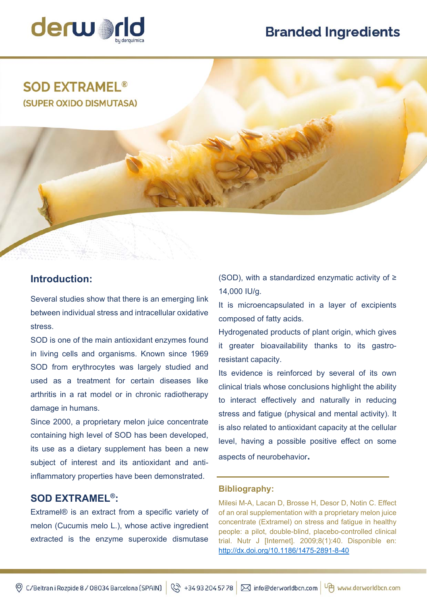# **Branded Ingredients**



## **SOD EXTRAMEL<sup>®</sup>** (SUPER OXIDO DISMUTASA)

### **Introduction:**

Several studies show that there is an emerging link between individual stress and intracellular oxidative stress.

SOD is one of the main antioxidant enzymes found in living cells and organisms. Known since 1969 SOD from erythrocytes was largely studied and used as a treatment for certain diseases like arthritis in a rat model or in chronic radiotherapy damage in humans.

Since 2000, a proprietary melon juice concentrate containing high level of SOD has been developed, its use as a dietary supplement has been a new subject of interest and its antioxidant and antiinflammatory properties have been demonstrated.

#### **SOD EXTRAMEL®:**

Extramel® is an extract from a specific variety of melon (Cucumis melo L.), whose active ingredient extracted is the enzyme superoxide dismutase (SOD), with a standardized enzymatic activity of ≥ 14,000 IU/g.

It is microencapsulated in a layer of excipients composed of fatty acids.

Hydrogenated products of plant origin, which gives it greater bioavailability thanks to its gastroresistant capacity.

Its evidence is reinforced by several of its own clinical trials whose conclusions highlight the ability to interact effectively and naturally in reducing stress and fatigue (physical and mental activity). It is also related to antioxidant capacity at the cellular level, having a possible positive effect on some aspects of neurobehavior**.** 

#### **Bibliography:**

Milesi M-A, Lacan D, Brosse H, Desor D, Notin C. Effect of an oral supplementation with a proprietary melon juice concentrate (Extramel) on stress and fatigue in healthy people: a pilot, double-blind, placebo-controlled clinical trial. Nutr J [Internet]. 2009;8(1):40. Disponible en: http://dx.doi.org/10.1186/1475-2891-8-40